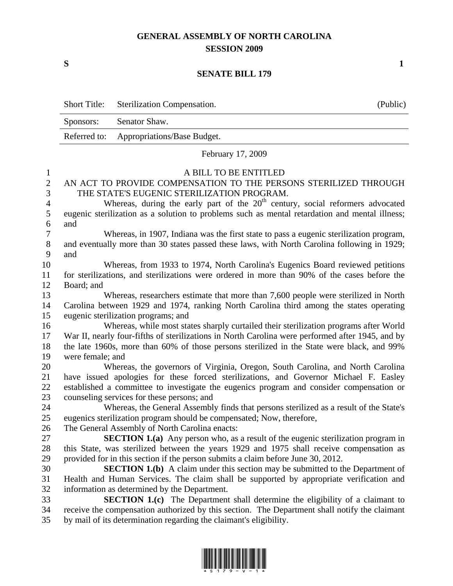## **GENERAL ASSEMBLY OF NORTH CAROLINA SESSION 2009**

 $S$  1

## **SENATE BILL 179**

|                | <b>Short Title:</b>                                                                                                                                                                            | Sterilization Compensation.                                                                   | (Public) |  |
|----------------|------------------------------------------------------------------------------------------------------------------------------------------------------------------------------------------------|-----------------------------------------------------------------------------------------------|----------|--|
| Sponsors:      |                                                                                                                                                                                                | Senator Shaw.                                                                                 |          |  |
|                | Referred to:                                                                                                                                                                                   | Appropriations/Base Budget.                                                                   |          |  |
|                | February 17, 2009                                                                                                                                                                              |                                                                                               |          |  |
| 1              | A BILL TO BE ENTITLED                                                                                                                                                                          |                                                                                               |          |  |
| $\mathbf{2}$   |                                                                                                                                                                                                | AN ACT TO PROVIDE COMPENSATION TO THE PERSONS STERILIZED THROUGH                              |          |  |
| 3              |                                                                                                                                                                                                | THE STATE'S EUGENIC STERILIZATION PROGRAM.                                                    |          |  |
| $\overline{4}$ |                                                                                                                                                                                                | Whereas, during the early part of the 20 <sup>th</sup> century, social reformers advocated    |          |  |
| 5<br>6         | eugenic sterilization as a solution to problems such as mental retardation and mental illness;<br>and                                                                                          |                                                                                               |          |  |
| 7              | Whereas, in 1907, Indiana was the first state to pass a eugenic sterilization program,                                                                                                         |                                                                                               |          |  |
| $8\,$          | and eventually more than 30 states passed these laws, with North Carolina following in 1929;                                                                                                   |                                                                                               |          |  |
| 9              | and                                                                                                                                                                                            |                                                                                               |          |  |
| 10             | Whereas, from 1933 to 1974, North Carolina's Eugenics Board reviewed petitions                                                                                                                 |                                                                                               |          |  |
| 11             | for sterilizations, and sterilizations were ordered in more than 90% of the cases before the                                                                                                   |                                                                                               |          |  |
| 12             | Board; and                                                                                                                                                                                     |                                                                                               |          |  |
| 13             |                                                                                                                                                                                                | Whereas, researchers estimate that more than 7,600 people were sterilized in North            |          |  |
| 14             | Carolina between 1929 and 1974, ranking North Carolina third among the states operating                                                                                                        |                                                                                               |          |  |
| 15             |                                                                                                                                                                                                | eugenic sterilization programs; and                                                           |          |  |
| 16             |                                                                                                                                                                                                | Whereas, while most states sharply curtailed their sterilization programs after World         |          |  |
| 17<br>18       | War II, nearly four-fifths of sterilizations in North Carolina were performed after 1945, and by<br>the late 1960s, more than 60% of those persons sterilized in the State were black, and 99% |                                                                                               |          |  |
| 19             | were female; and                                                                                                                                                                               |                                                                                               |          |  |
| 20             |                                                                                                                                                                                                | Whereas, the governors of Virginia, Oregon, South Carolina, and North Carolina                |          |  |
| 21             |                                                                                                                                                                                                | have issued apologies for these forced sterilizations, and Governor Michael F. Easley         |          |  |
| 22             |                                                                                                                                                                                                | established a committee to investigate the eugenics program and consider compensation or      |          |  |
| 23             |                                                                                                                                                                                                | counseling services for these persons; and                                                    |          |  |
| 24             |                                                                                                                                                                                                | Whereas, the General Assembly finds that persons sterilized as a result of the State's        |          |  |
| 25             |                                                                                                                                                                                                | eugenics sterilization program should be compensated; Now, therefore,                         |          |  |
| $26\,$         |                                                                                                                                                                                                | The General Assembly of North Carolina enacts:                                                |          |  |
| 27             |                                                                                                                                                                                                | <b>SECTION 1.(a)</b> Any person who, as a result of the eugenic sterilization program in      |          |  |
| 28             |                                                                                                                                                                                                | this State, was sterilized between the years 1929 and 1975 shall receive compensation as      |          |  |
| 29             |                                                                                                                                                                                                | provided for in this section if the person submits a claim before June 30, 2012.              |          |  |
| 30             |                                                                                                                                                                                                | <b>SECTION 1.(b)</b> A claim under this section may be submitted to the Department of         |          |  |
| 31             |                                                                                                                                                                                                | Health and Human Services. The claim shall be supported by appropriate verification and       |          |  |
| 32             |                                                                                                                                                                                                | information as determined by the Department.                                                  |          |  |
| 33             | <b>SECTION 1.(c)</b> The Department shall determine the eligibility of a claimant to                                                                                                           |                                                                                               |          |  |
| 34             |                                                                                                                                                                                                | receive the compensation authorized by this section. The Department shall notify the claimant |          |  |
| 35             | by mail of its determination regarding the claimant's eligibility.                                                                                                                             |                                                                                               |          |  |